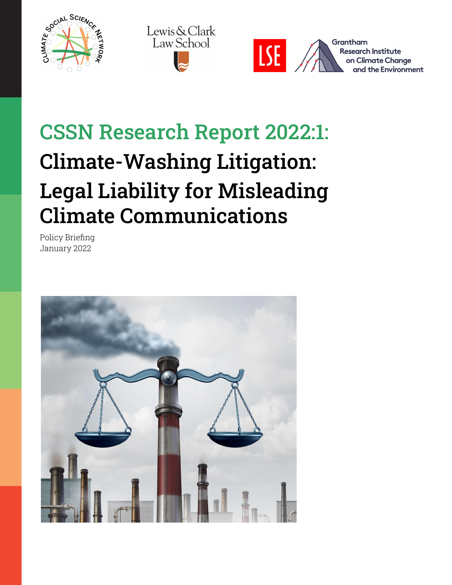





# CSSN Research Report 2022:1: Climate-Washing Litigation: Legal Liability for Misleading Climate Communications

Policy Briefing January 2022

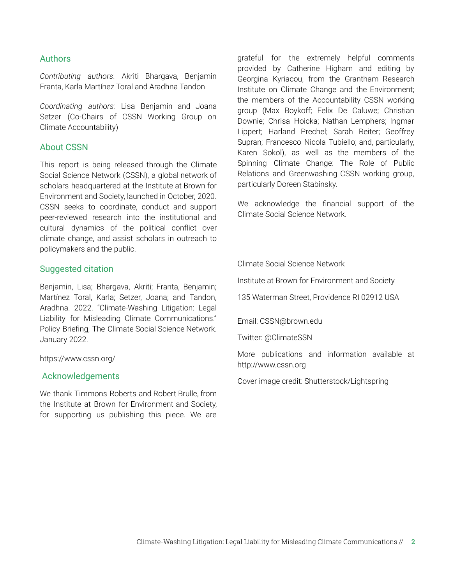#### Authors

*Contributing authors*: Akriti Bhargava, Benjamin Franta, Karla Martínez Toral and Aradhna Tandon

*Coordinating authors:* Lisa Benjamin and Joana Setzer (Co-Chairs of CSSN Working Group on Climate Accountability)

#### About CSSN

This report is being released through the Climate Social Science Network (CSSN), a global network of scholars headquartered at the Institute at Brown for Environment and Society, launched in October, 2020. CSSN seeks to coordinate, conduct and support peer-reviewed research into the institutional and cultural dynamics of the political conflict over climate change, and assist scholars in outreach to policymakers and the public.

#### Suggested citation

Benjamin, Lisa; Bhargava, Akriti; Franta, Benjamin; Martínez Toral, Karla; Setzer, Joana; and Tandon, Aradhna. 2022. "Climate-Washing Litigation: Legal Liability for Misleading Climate Communications." Policy Briefing, The Climate Social Science Network. January 2022.

#### https://www.cssn.org/

#### Acknowledgements

We thank Timmons Roberts and Robert Brulle, from the Institute at Brown for Environment and Society, for supporting us publishing this piece. We are

grateful for the extremely helpful comments provided by Catherine Higham and editing by Georgina Kyriacou, from the Grantham Research Institute on Climate Change and the Environment; the members of the Accountability CSSN working group (Max Boykoff; Felix De Caluwe; Christian Downie; Chrisa Hoicka; Nathan Lemphers; Ingmar Lippert; Harland Prechel; Sarah Reiter; Geoffrey Supran; Francesco Nicola Tubiello; and, particularly, Karen Sokol), as well as the members of the Spinning Climate Change: The Role of Public Relations and Greenwashing CSSN working group, particularly Doreen Stabinsky.

We acknowledge the financial support of the Climate Social Science Network.

Climate Social Science Network

Institute at Brown for Environment and Society

135 Waterman Street, Providence RI 02912 USA

Email: CSSN@brown.edu

Twitter: @ClimateSSN

More publications and information available at http://www.cssn.org

Cover image credit: Shutterstock/Lightspring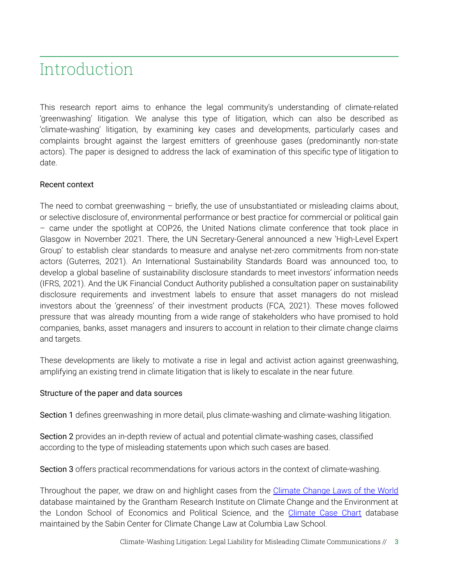### Introduction

This research report aims to enhance the legal community's understanding of climate-related 'greenwashing' litigation. We analyse this type of litigation, which can also be described as 'climate-washing' litigation, by examining key cases and developments, particularly cases and complaints brought against the largest emitters of greenhouse gases (predominantly non-state actors). The paper is designed to address the lack of examination of this specific type of litigation to date.

#### Recent context

The need to combat greenwashing – briefly, the use of unsubstantiated or misleading claims about, or selective disclosure of, environmental performance or best practice for commercial or political gain – came under the spotlight at COP26, the United Nations climate conference that took place in Glasgow in November 2021. There, the UN Secretary-General announced a new 'High-Level Expert Group' to establish clear standards to measure and analyse net-zero commitments from non-state actors (Guterres, 2021). An International [Sustainability](https://www.ifrs.org/content/ifrs/home/groups/international-sustainability-standards-board.html) Standards Board was announced too, to develop a global baseline of sustainability disclosure standards to meet investors' information needs (IFRS, 2021). And the UK Financial Conduct Authority published a [consultation](https://www.fca.org.uk/publication/discussion/dp21-4.pdf) paper on sustainability disclosure requirements and investment labels to ensure that asset managers do not mislead investors about the 'greenness' of their investment products (FCA, 2021). These moves followed pressure that was already mounting from a wide range of stakeholders who have promised to hold companies, banks, asset managers and insurers to account in relation to their climate change claims and targets.

These developments are likely to motivate a rise in legal and activist action against greenwashing, amplifying an existing trend in climate litigation that is likely to escalate in the near future.

#### Structure of the paper and data sources

Section 1 defines greenwashing in more detail, plus climate-washing and climate-washing litigation.

Section 2 provides an in-depth review of actual and potential climate-washing cases, classified according to the type of misleading statements upon which such cases are based.

Section 3 offers practical recommendations for various actors in the context of climate-washing.

Throughout the paper, we draw on and highlight cases from the [Climate](https://climate-laws.org/) Change Laws of the World database maintained by the Grantham Research Institute on Climate Change and the Environment at the London School of Economics and Political Science, and the [Climate](http://climatecasechart.com/climate-change-litigation/) Case Chart database maintained by the Sabin Center for Climate Change Law at Columbia Law School.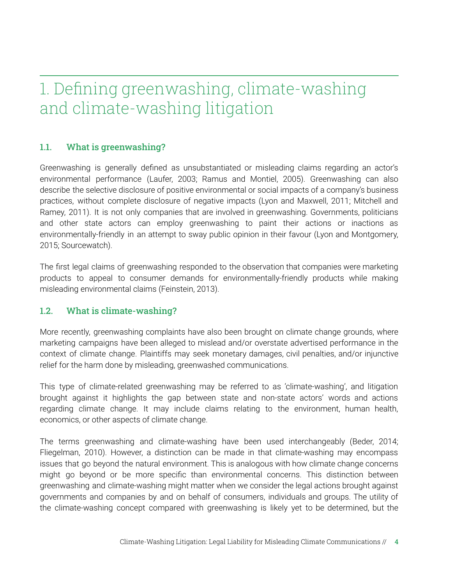## 1. Defining greenwashing, climate-washing and climate-washing litigation

#### 1.1. What is greenwashing?

Greenwashing is generally defined as unsubstantiated or misleading claims regarding an actor's environmental performance (Laufer, 2003; Ramus and Montiel, 2005). Greenwashing can also describe the selective disclosure of positive environmental or social impacts of a company's business practices, without complete disclosure of negative impacts (Lyon and Maxwell, 2011; Mitchell and Ramey, 2011). It is not only companies that are involved in greenwashing. Governments, politicians and other state actors can employ greenwashing to paint their actions or inactions as environmentally-friendly in an attempt to sway public opinion in their favour (Lyon and Montgomery, 2015; Sourcewatch).

The first legal claims of greenwashing responded to the observation that companies were marketing products to appeal to consumer demands for environmentally-friendly products while making misleading environmental claims (Feinstein, 2013).

#### 1.2. What is climate-washing?

More recently, greenwashing complaints have also been brought on climate change grounds, where marketing campaigns have been alleged to mislead and/or overstate advertised performance in the context of climate change. Plaintiffs may seek monetary damages, civil penalties, and/or injunctive relief for the harm done by misleading, greenwashed communications.

This type of climate-related greenwashing may be referred to as 'climate-washing', and litigation brought against it highlights the gap between state and non-state actors' words and actions regarding climate change. It may include claims relating to the environment, human health, economics, or other aspects of climate change.

The terms greenwashing and climate-washing have been used interchangeably (Beder, 2014; Fliegelman, 2010). However, a distinction can be made in that climate-washing may encompass issues that go beyond the natural environment. This is analogous with how climate change concerns might go beyond or be more specific than environmental concerns. This distinction between greenwashing and climate-washing might matter when we consider the legal actions brought against governments and companies by and on behalf of consumers, individuals and groups. The utility of the climate-washing concept compared with greenwashing is likely yet to be determined, but the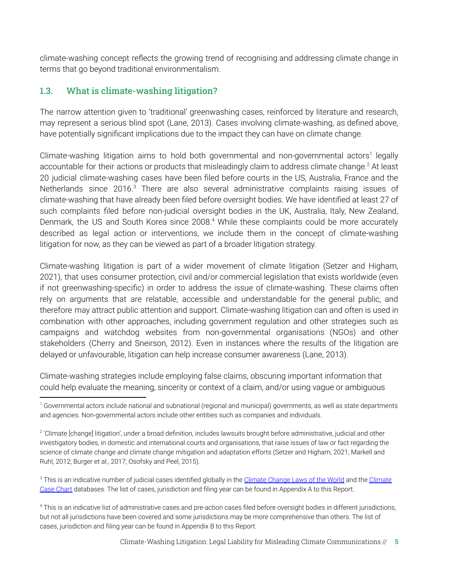climate-washing concept reflects the growing trend of recognising and addressing climate change in terms that go beyond traditional environmentalism.

#### 1.3. What is climate-washing litigation?

The narrow attention given to 'traditional' greenwashing cases, reinforced by literature and research, may represent a serious blind spot (Lane, 2013). Cases involving climate-washing, as defined above, have potentially significant implications due to the impact they can have on climate change.

Climate-washing litigation aims to hold both governmental and non-governmental actors<sup>1</sup> legally accountable for their actions or products that misleadingly claim to address climate change.<sup>2</sup> At least 20 judicial climate-washing cases have been filed before courts in the US, Australia, France and the Netherlands since 2016.<sup>3</sup> There are also several administrative complaints raising issues of climate-washing that have already been filed before oversight bodies. We have identified at least 27 of such complaints filed before non-judicial oversight bodies in the UK, Australia, Italy, New Zealand, Denmark, the US and South Korea since 2008.<sup>4</sup> While these complaints could be more accurately described as legal action or interventions, we include them in the concept of climate-washing litigation for now, as they can be viewed as part of a broader litigation strategy.

Climate-washing litigation is part of a wider movement of climate litigation (Setzer and Higham, 2021), that uses consumer protection, civil and/or commercial legislation that exists worldwide (even if not greenwashing-specific) in order to address the issue of climate-washing. These claims often rely on arguments that are relatable, accessible and understandable for the general public, and therefore may attract public attention and support. Climate-washing litigation can and often is used in combination with other approaches, including government regulation and other strategies such as campaigns and watchdog websites from non-governmental organisations (NGOs) and other stakeholders (Cherry and Sneirson, 2012). Even in instances where the results of the litigation are delayed or unfavourable, litigation can help increase consumer awareness (Lane, 2013).

Climate-washing strategies include employing false claims, obscuring important information that could help evaluate the meaning, sincerity or context of a claim, and/or using vague or ambiguous

<sup>3</sup> This is an indicative number of judicial cases identified globally in the [Climate Change Laws of the World](https://climate-laws.org/) and the [Climate](http://climatecasechart.com/climate-change-litigation/) [Case Chart](http://climatecasechart.com/climate-change-litigation/) databases. The list of cases, jurisdiction and filing year can be found in Appendix A to this Report.

<sup>4</sup> This is an indicative list of administrative cases and pre-action cases filed before oversight bodies in different jurisdictions, but not all jurisdictions have been covered and some jurisdictions may be more comprehensive than others. The list of cases, jurisdiction and filing year can be found in Appendix B to this Report.

<sup>&</sup>lt;sup>1</sup> Governmental actors include national and subnational (regional and municipal) governments, as well as state departments and agencies. Non-governmental actors include other entities such as companies and individuals.

<sup>2</sup> 'Climate [change] litigation', under a broad definition, includes lawsuits brought before administrative, judicial and other investigatory bodies, in domestic and international courts and organisations, that raise issues of law or fact regarding the science of climate change and climate change mitigation and adaptation efforts (Setzer and Higham, 2021; Markell and Ruhl, 2012; Burger et al., 2017; Osofsky and Peel, 2015).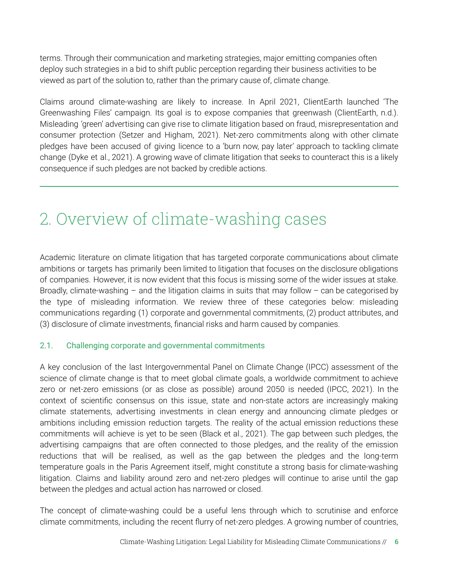terms. Through their communication and marketing strategies, major emitting companies often deploy such strategies in a bid to shift public perception regarding their business activities to be viewed as part of the solution to, rather than the primary cause of, climate change.

Claims around climate-washing are likely to increase. In April 2021, ClientEarth launched 'The Greenwashing Files' campaign. Its goal is to expose companies that greenwash (ClientEarth, n.d.). Misleading 'green' advertising can give rise to climate litigation based on fraud, misrepresentation and consumer protection (Setzer and Higham, 2021). Net-zero commitments along with other climate pledges have been accused of giving licence to a 'burn now, pay later' approach to tackling climate change (Dyke et al., 2021). A growing wave of climate litigation that seeks to counteract this is a likely consequence if such pledges are not backed by credible actions.

### 2. Overview of climate-washing cases

Academic literature on climate litigation that has targeted corporate communications about climate ambitions or targets has primarily been limited to litigation that focuses on the disclosure obligations of companies. However, it is now evident that this focus is missing some of the wider issues at stake. Broadly, climate-washing – and the litigation claims in suits that may follow – can be categorised by the type of misleading information. We review three of these categories below: misleading communications regarding (1) corporate and governmental commitments, (2) product attributes, and (3) disclosure of climate investments, financial risks and harm caused by companies.

#### 2.1. Challenging corporate and governmental commitments

A key conclusion of the last Intergovernmental Panel on Climate Change (IPCC) assessment of the science of climate change is that to meet global climate goals, a worldwide commitment to achieve zero or net-zero emissions (or as close as possible) around 2050 is needed (IPCC, 2021). In the context of scientific consensus on this issue, state and non-state actors are increasingly making climate statements, advertising investments in clean energy and announcing climate pledges or ambitions including emission reduction targets. The reality of the actual emission reductions these commitments will achieve is yet to be seen (Black et al., 2021). The gap between such pledges, the advertising campaigns that are often connected to those pledges, and the reality of the emission reductions that will be realised, as well as the gap between the pledges and the long-term temperature goals in the Paris Agreement itself, might constitute a strong basis for climate-washing litigation. Claims and liability around zero and net-zero pledges will continue to arise until the gap between the pledges and actual action has narrowed or closed.

The concept of climate-washing could be a useful lens through which to scrutinise and enforce climate commitments, including the recent flurry of net-zero pledges. A growing number of countries,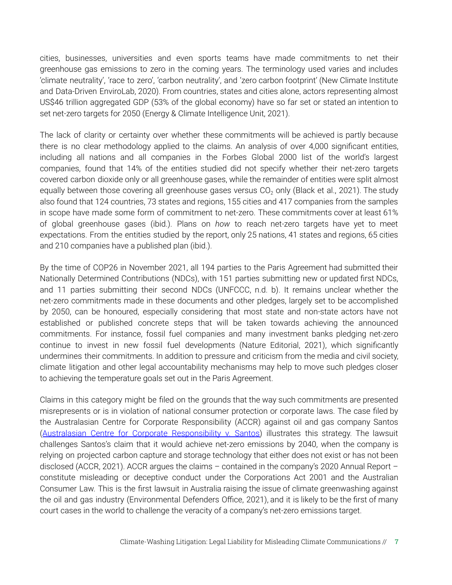cities, businesses, universities and even sports teams have made commitments to net their greenhouse gas emissions to zero in the coming years. The terminology used varies and includes 'climate neutrality', 'race to zero', 'carbon neutrality', and 'zero carbon footprint' (New Climate Institute and Data-Driven EnviroLab, 2020). From countries, states and cities alone, actors representing almost US\$46 trillion aggregated GDP (53% of the global economy) have so far set or stated an intention to set net-zero targets for 2050 (Energy & Climate Intelligence Unit, 2021).

The lack of clarity or certainty over whether these commitments will be achieved is partly because there is no clear methodology applied to the claims. An analysis of over 4,000 significant entities, including all nations and all companies in the Forbes Global 2000 list of the world's largest companies, found that 14% of the entities studied did not specify whether their net-zero targets covered carbon dioxide only or all greenhouse gases, while the remainder of entities were split almost equally between those covering all greenhouse gases versus  $CO<sub>2</sub>$  only (Black et al., 2021). The study also found that 124 countries, 73 states and regions, 155 cities and 417 companies from the samples in scope have made some form of commitment to net-zero. These commitments cover at least 61% of global greenhouse gases (ibid.). Plans on *how* to reach net-zero targets have yet to meet expectations. From the entities studied by the report, only 25 nations, 41 states and regions, 65 cities and 210 companies have a published plan (ibid.).

By the time of COP26 in November 2021, all 194 parties to the Paris Agreement had submitted their Nationally Determined Contributions (NDCs), with 151 parties submitting new or updated first NDCs, and 11 parties submitting their second NDCs (UNFCCC, n.d. b). It remains unclear whether the net-zero commitments made in these documents and other pledges, largely set to be accomplished by 2050, can be honoured, especially considering that most state and non-state actors have not established or published concrete steps that will be taken towards achieving the announced commitments. For instance, fossil fuel companies and many investment banks pledging net-zero continue to invest in new fossil fuel developments (Nature Editorial, 2021), which significantly undermines their commitments. In addition to pressure and criticism from the media and civil society, climate litigation and other legal accountability mechanisms may help to move such pledges closer to achieving the temperature goals set out in the Paris Agreement.

Claims in this category might be filed on the grounds that the way such commitments are presented misrepresents or is in violation of national consumer protection or corporate laws. The case filed by the Australasian Centre for Corporate Responsibility (ACCR) against oil and gas company Santos (Australasian Centre for Corporate [Responsibility](https://climate-laws.org/geographies/australia/litigation_cases/australasian-centre-for-corporate-responsibility-v-santos) v. Santos) illustrates this strategy. The lawsuit challenges Santos's claim that it would achieve net-zero emissions by 2040, when the company is relying on projected carbon capture and storage technology that either does not exist or has not been disclosed (ACCR, 2021). ACCR argues the claims – contained in the company's 2020 Annual Report – constitute misleading or deceptive conduct under the Corporations Act 2001 and the Australian Consumer Law. This is the first lawsuit in Australia raising the issue of climate greenwashing against the oil and gas industry (Environmental Defenders Office, 2021), and it is likely to be the first of many court cases in the world to challenge the veracity of a company's net-zero emissions target.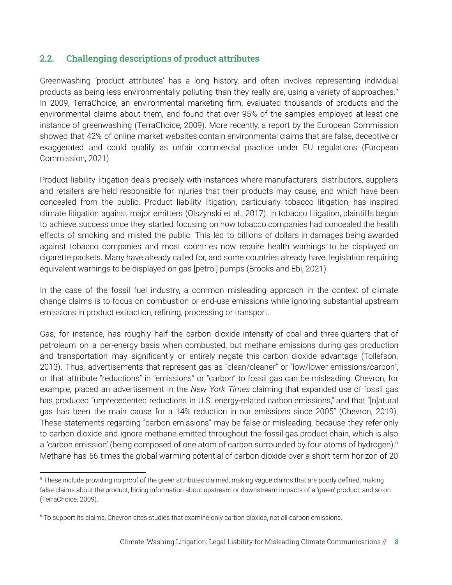#### 2.2. Challenging descriptions of product attributes

Greenwashing 'product attributes' has a long history, and often involves representing individual products as being less environmentally polluting than they really are, using a variety of approaches. 5 In 2009, TerraChoice, an environmental marketing firm, evaluated thousands of products and the environmental claims about them, and found that over 95% of the samples employed at least one instance of greenwashing (TerraChoice, 2009). More recently, a report by the European Commission showed that 42% of online market websites contain environmental claims that are false, deceptive or exaggerated and could qualify as unfair commercial practice under EU regulations (European Commission, 2021).

Product liability litigation deals precisely with instances where manufacturers, distributors, suppliers and retailers are held responsible for injuries that their products may cause, and which have been concealed from the public. Product liability litigation, particularly tobacco litigation, has inspired climate litigation against major emitters (Olszynski et al., 2017). In tobacco litigation, plaintiffs began to achieve success once they started focusing on how tobacco companies had concealed the health effects of smoking and misled the public. This led to billions of dollars in damages being awarded against tobacco companies and most countries now require health warnings to be displayed on cigarette packets. Many have already called for, and some countries already have, legislation requiring equivalent warnings to be displayed on gas [petrol] pumps (Brooks and Ebi, 2021).

In the case of the fossil fuel industry, a common misleading approach in the context of climate change claims is to focus on combustion or end-use emissions while ignoring substantial upstream emissions in product extraction, refining, processing or transport.

Gas, for instance, has roughly half the carbon dioxide intensity of coal and three-quarters that of petroleum on a per-energy basis when combusted, but methane emissions during gas production and transportation may significantly or entirely negate this carbon dioxide advantage (Tollefson, 2013). Thus, advertisements that represent gas as "clean/cleaner" or "low/lower emissions/carbon", or that attribute "reductions" in "emissions" or "carbon" to fossil gas can be misleading. Chevron, for example, placed an advertisement in the *New York Times* claiming that expanded use of fossil gas has produced "unprecedented reductions in U.S. energy-related carbon emissions," and that "[n]atural gas has been the main cause for a 14% reduction in our emissions since 2005" (Chevron, 2019). These statements regarding "carbon emissions" may be false or misleading, because they refer only to carbon dioxide and ignore methane emitted throughout the fossil gas product chain, which is also a 'carbon emission' (being composed of one atom of carbon surrounded by four atoms of hydrogen).<sup>6</sup> Methane has 56 times the global warming potential of carbon dioxide over a short-term horizon of 20

<sup>&</sup>lt;sup>5</sup> These include providing no proof of the green attributes claimed, making vague claims that are poorly defined, making false claims about the product, hiding information about upstream or downstream impacts of a 'green' product, and so on (TerraChoice, 2009).

<sup>&</sup>lt;sup>6</sup> To support its claims, Chevron cites studies that examine only carbon dioxide, not all carbon emissions.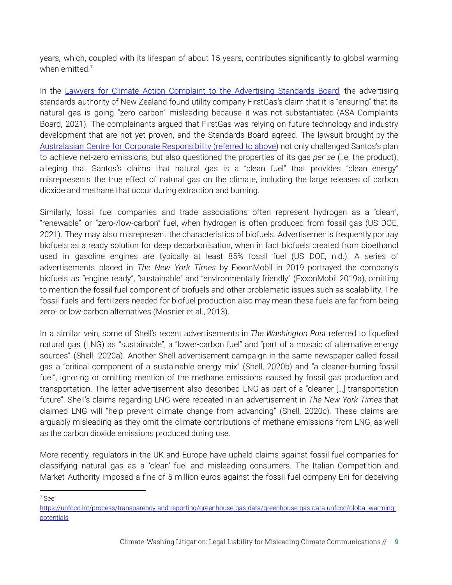years, which, coupled with its lifespan of about 15 years, contributes significantly to global warming when emitted. 7

In the Lawyers for Climate Action Complaint to the [Advertising](https://climate-laws.org/geographies/new-zealand/litigation_cases/lawyers-for-climate-action-complaint-to-the-advertising-standards-board) Standards Board, the advertising standards authority of New Zealand found utility company FirstGas's claim that it is "ensuring" that its natural gas is going "zero carbon" misleading because it was not substantiated (ASA Complaints Board, 2021). The complainants argued that FirstGas was relying on future technology and industry development that are not yet proven, and the Standards Board agreed. The lawsuit brought by the Australasian Centre for Corporate [Responsibility](https://climate-laws.org/geographies/australia/litigation_cases/australasian-centre-for-corporate-responsibility-v-santos) (referred to above) not only challenged Santos's plan to achieve net-zero emissions, but also questioned the properties of its gas *per se* (i.e. the product), alleging that Santos's claims that natural gas is a "clean fuel" that provides "clean energy" misrepresents the true effect of natural gas on the climate, including the large releases of carbon dioxide and methane that occur during extraction and burning.

Similarly, fossil fuel companies and trade associations often represent hydrogen as a "clean", "renewable" or "zero-/low-carbon" fuel, when hydrogen is often produced from fossil gas (US DOE, 2021). They may also misrepresent the characteristics of biofuels. Advertisements frequently portray biofuels as a ready solution for deep decarbonisation, when in fact biofuels created from bioethanol used in gasoline engines are typically at least 85% fossil fuel (US DOE, n.d.). A series of advertisements placed in *The New York Times* by ExxonMobil in 2019 portrayed the company's biofuels as "engine ready", "sustainable" and "environmentally friendly" (ExxonMobil 2019a), omitting to mention the fossil fuel component of biofuels and other problematic issues such as scalability. The fossil fuels and fertilizers needed for biofuel production also may mean these fuels are far from being zero- or low-carbon alternatives (Mosnier et al., 2013).

In a similar vein, some of Shell's recent advertisements in *The Washington Post* referred to liquefied natural gas (LNG) as "sustainable", a "lower-carbon fuel" and "part of a mosaic of alternative energy sources" (Shell, 2020a). Another Shell advertisement campaign in the same newspaper called fossil gas a "critical component of a sustainable energy mix" (Shell, 2020b) and "a cleaner-burning fossil fuel", ignoring or omitting mention of the methane emissions caused by fossil gas production and transportation. The latter advertisement also described LNG as part of a "cleaner […] transportation future". Shell's claims regarding LNG were repeated in an advertisement in *The New York Times* that claimed LNG will "help prevent climate change from advancing" (Shell, 2020c). These claims are arguably misleading as they omit the climate contributions of methane emissions from LNG, as well as the carbon dioxide emissions produced during use.

More recently, regulators in the UK and Europe have upheld claims against fossil fuel companies for classifying natural gas as a 'clean' fuel and misleading consumers. The Italian Competition and Market Authority imposed a fine of 5 million euros against the fossil fuel company Eni for deceiving

<sup>7</sup> See

[https://unfccc.int/process/transparency-and-reporting/greenhouse-gas-data/greenhouse-gas-data-unfccc/global-warming](https://unfccc.int/process/transparency-and-reporting/greenhouse-gas-data/greenhouse-gas-data-unfccc/global-warming-potentials)[potentials](https://unfccc.int/process/transparency-and-reporting/greenhouse-gas-data/greenhouse-gas-data-unfccc/global-warming-potentials)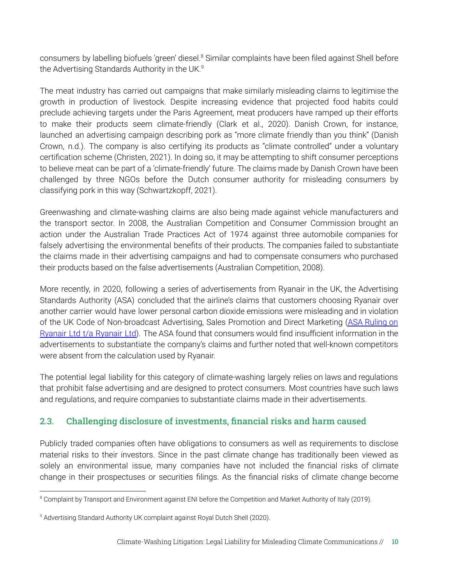consumers by labelling biofuels 'green' diesel.<sup>8</sup> Similar complaints have been filed against Shell before the Advertising Standards Authority in the UK. 9

The meat industry has carried out campaigns that make similarly misleading claims to legitimise the growth in production of livestock. Despite increasing evidence that projected food habits could preclude achieving targets under the Paris Agreement, meat producers have ramped up their efforts to make their products seem climate-friendly (Clark et al., 2020). Danish Crown, for instance, launched an advertising campaign describing pork as "more climate friendly than you think" (Danish Crown, n.d.). The company is also certifying its products as "climate controlled" under a voluntary certification scheme (Christen, 2021). In doing so, it may be attempting to shift consumer perceptions to believe meat can be part of a 'climate-friendly' future. The claims made by Danish Crown have been challenged by three NGOs before the Dutch consumer authority for misleading consumers by classifying pork in this way (Schwartzkopff, 2021).

Greenwashing and climate-washing claims are also being made against vehicle manufacturers and the transport sector. In 2008, the Australian Competition and Consumer Commission brought an action under the Australian Trade Practices Act of 1974 against three automobile companies for falsely advertising the environmental benefits of their products. The companies failed to substantiate the claims made in their advertising campaigns and had to compensate consumers who purchased their products based on the false advertisements (Australian Competition, 2008).

More recently, in 2020, following a series of advertisements from Ryanair in the UK, the Advertising Standards Authority (ASA) concluded that the airline's claims that customers choosing Ryanair over another carrier would have lower personal carbon dioxide emissions were misleading and in violation of the UK Code of Non-broadcast Advertising, Sales Promotion and Direct Marketing (ASA [Ruling](https://climate-laws.org/geographies/united-kingdom/litigation_cases/asa-ruling-on-ryanair-ltd-t-a-ryanair-ltd) on Ryanair Ltd t/a [Ryanair](https://climate-laws.org/geographies/united-kingdom/litigation_cases/asa-ruling-on-ryanair-ltd-t-a-ryanair-ltd) Ltd). The ASA found that consumers would find insufficient information in the advertisements to substantiate the company's claims and further noted that well-known competitors were absent from the calculation used by Ryanair.

The potential legal liability for this category of climate-washing largely relies on laws and regulations that prohibit false advertising and are designed to protect consumers. Most countries have such laws and regulations, and require companies to substantiate claims made in their advertisements.

#### 2.3. Challenging disclosure of investments, financial risks and harm caused

Publicly traded companies often have obligations to consumers as well as requirements to disclose material risks to their investors. Since in the past climate change has traditionally been viewed as solely an environmental issue, many companies have not included the financial risks of climate change in their prospectuses or securities filings. As the financial risks of climate change become

<sup>&</sup>lt;sup>8</sup> Complaint by Transport and Environment against ENI before the Competition and Market Authority of Italy (2019).

<sup>&</sup>lt;sup>9</sup> Advertising Standard Authority UK complaint against Royal Dutch Shell (2020).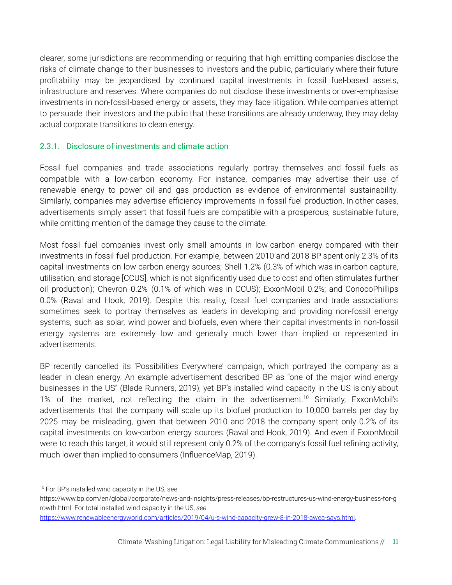clearer, some jurisdictions are recommending or requiring that high emitting companies disclose the risks of climate change to their businesses to investors and the public, particularly where their future profitability may be jeopardised by continued capital investments in fossil fuel-based assets, infrastructure and reserves. Where companies do not disclose these investments or over-emphasise investments in non-fossil-based energy or assets, they may face litigation. While companies attempt to persuade their investors and the public that these transitions are already underway, they may delay actual corporate transitions to clean energy.

#### 2.3.1. Disclosure of investments and climate action

Fossil fuel companies and trade associations regularly portray themselves and fossil fuels as compatible with a low-carbon economy. For instance, companies may advertise their use of renewable energy to power oil and gas production as evidence of environmental sustainability. Similarly, companies may advertise efficiency improvements in fossil fuel production. In other cases, advertisements simply assert that fossil fuels are compatible with a prosperous, sustainable future, while omitting mention of the damage they cause to the climate.

Most fossil fuel companies invest only small amounts in low-carbon energy compared with their investments in fossil fuel production. For example, between 2010 and 2018 BP spent only 2.3% of its capital investments on low-carbon energy sources; Shell 1.2% (0.3% of which was in carbon capture, utilisation, and storage [CCUS], which is not significantly used due to cost and often stimulates further oil production); Chevron 0.2% (0.1% of which was in CCUS); ExxonMobil 0.2%; and ConocoPhillips 0.0% (Raval and Hook, 2019). Despite this reality, fossil fuel companies and trade associations sometimes seek to portray themselves as leaders in developing and providing non-fossil energy systems, such as solar, wind power and biofuels, even where their capital investments in non-fossil energy systems are extremely low and generally much lower than implied or represented in advertisements.

BP recently cancelled its 'Possibilities Everywhere' campaign, which portrayed the company as a leader in clean energy. An example advertisement described BP as "one of the major wind energy businesses in the US" (Blade Runners, 2019), yet BP's installed wind capacity in the US is only about 1% of the market, not reflecting the claim in the advertisement.<sup>10</sup> Similarly, ExxonMobil's advertisements that the company will scale up its biofuel production to 10,000 barrels per day by 2025 may be misleading, given that between 2010 and 2018 the company spent only 0.2% of its capital investments on low-carbon energy sources (Raval and Hook, 2019). And even if ExxonMobil were to reach this target, it would still represent only 0.2% of the company's fossil fuel refining activity, much lower than implied to consumers (InfluenceMap, 2019).

<sup>&</sup>lt;sup>10</sup> For BP's installed wind capacity in the US, see

[https://www.bp.com/en/global/corporate/news-and-insights/press-releases/bp-restructures-us-wind-energy-business-for-g](https://www.bp.com/en/global/corporate/news-and-insights/press-releases/bp-restructures-us-wind-energy-business-for-growth.html) [rowth.html.](https://www.bp.com/en/global/corporate/news-and-insights/press-releases/bp-restructures-us-wind-energy-business-for-growth.html) For total installed wind capacity in the US, *see*

[https://www.renewableenergyworld.com/articles/2019/04/u-s-wind-capacity-grew-8-in-2018-awea-says.html.](https://www.renewableenergyworld.com/articles/2019/04/u-s-wind-capacity-grew-8-in-2018-awea-says.html)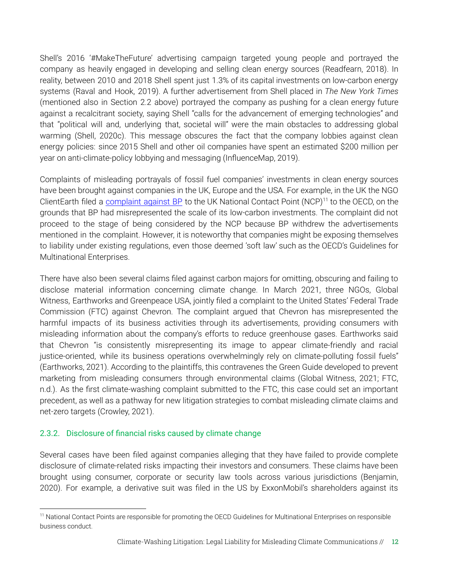Shell's 2016 '#MakeTheFuture' advertising campaign targeted young people and portrayed the company as heavily engaged in developing and selling clean energy sources (Readfearn, 2018). In reality, between 2010 and 2018 Shell spent just 1.3% of its capital investments on low-carbon energy systems (Raval and Hook, 2019). A further advertisement from Shell placed in *The New York Times* (mentioned also in Section 2.2 above) portrayed the company as pushing for a clean energy future against a recalcitrant society, saying Shell "calls for the advancement of emerging technologies" and that "political will and, underlying that, societal will" were the main obstacles to addressing global warming (Shell, 2020c). This message obscures the fact that the company lobbies against clean energy policies: since 2015 Shell and other oil companies have spent an estimated \$200 million per year on anti-climate-policy lobbying and messaging (InfluenceMap, 2019).

Complaints of misleading portrayals of fossil fuel companies' investments in clean energy sources have been brought against companies in the UK, Europe and the USA. For example, in the UK the NGO ClientEarth filed a [complaint](https://climate-laws.org/geographies/united-kingdom/litigation_cases/complaint-against-bp-in-respect-of-violations-of-the-oecd-guidelines) against BP to the UK National Contact Point (NCP)<sup>11</sup> to the OECD, on the grounds that BP had misrepresented the scale of its low-carbon investments. The complaint did not proceed to the stage of being considered by the NCP because BP withdrew the advertisements mentioned in the complaint. However, it is noteworthy that companies might be exposing themselves to liability under existing regulations, even those deemed 'soft law' such as the OECD's Guidelines for Multinational Enterprises.

There have also been several claims filed against carbon majors for omitting, obscuring and failing to disclose material information concerning climate change. In March 2021, three NGOs, Global Witness, Earthworks and Greenpeace USA, jointly filed a complaint to the United States' Federal Trade Commission (FTC) against Chevron. The complaint argued that Chevron has misrepresented the harmful impacts of its business activities through its advertisements, providing consumers with misleading information about the company's efforts to reduce greenhouse gases. Earthworks said that Chevron "is consistently misrepresenting its image to appear climate-friendly and racial justice-oriented, while its business operations overwhelmingly rely on climate-polluting fossil fuels" (Earthworks, 2021). According to the plaintiffs, this contravenes the Green Guide developed to prevent marketing from misleading consumers through environmental claims (Global Witness, 2021; FTC, n.d.). As the first climate-washing complaint submitted to the FTC, this case could set an important precedent, as well as a pathway for new litigation strategies to combat misleading climate claims and net-zero targets (Crowley, 2021).

#### 2.3.2. Disclosure of financial risks caused by climate change

Several cases have been filed against companies alleging that they have failed to provide complete disclosure of climate-related risks impacting their investors and consumers. These claims have been brought using consumer, corporate or security law tools across various jurisdictions (Benjamin, 2020). For example, a derivative suit was filed in the US by ExxonMobil's shareholders against its

<sup>&</sup>lt;sup>11</sup> National Contact Points are responsible for promoting the OECD Guidelines for Multinational Enterprises on responsible business conduct.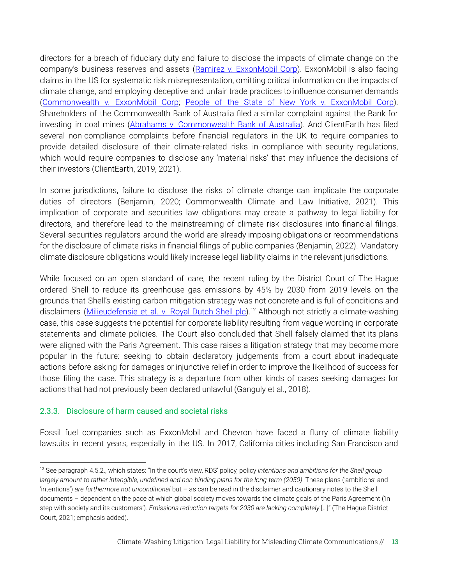directors for a breach of fiduciary duty and failure to disclose the impacts of climate change on the company's business reserves and assets (Ramirez v. [ExxonMobil](http://climatecasechart.com/climate-change-litigation/case/ramirez-v-exxon-mobil-corp/) Corp). ExxonMobil is also facing claims in the US for systematic risk misrepresentation, omitting critical information on the impacts of climate change, and employing deceptive and unfair trade practices to influence consumer demands ([Commonwealth](http://climatecasechart.com/climate-change-litigation/case/commonwealth-v-exxon-mobil-corp/) v. ExxonMobil Corp; People of the State of New York v. [ExxonMobil](http://climatecasechart.com/climate-change-litigation/case/people-v-exxon-mobil-corporation/) Corp). Shareholders of the Commonwealth Bank of Australia filed a similar complaint against the Bank for investing in coal mines (Abrahams v. [Commonwealth](https://climate-laws.org/geographies/australia/litigation_cases/abrahams-v-commonwealth-bank-of-australia) Bank of Australia). And ClientEarth has filed several non-compliance complaints before financial regulators in the UK to require companies to provide detailed disclosure of their climate-related risks in compliance with security regulations, which would require companies to disclose any 'material risks' that may influence the decisions of their investors (ClientEarth, 2019, 2021).

In some jurisdictions, failure to disclose the risks of climate change can implicate the corporate duties of directors (Benjamin, 2020; Commonwealth Climate and Law Initiative, 2021). This implication of corporate and securities law obligations may create a pathway to legal liability for directors, and therefore lead to the mainstreaming of climate risk disclosures into financial filings. Several securities regulators around the world are already imposing obligations or recommendations for the disclosure of climate risks in financial filings of public companies (Benjamin, 2022). Mandatory climate disclosure obligations would likely increase legal liability claims in the relevant jurisdictions.

While focused on an open standard of care, the recent ruling by the District Court of The Hague ordered Shell to reduce its greenhouse gas emissions by 45% by 2030 from 2019 levels on the grounds that Shell's existing carbon mitigation strategy was not concrete and is full of conditions and disclaimers (*[Milieudefensie](https://climate-laws.org/geographies/netherlands/litigation_cases/milieudefensie-et-al-v-royal-dutch-shell-plc) et al. v. Royal Dutch Shell plc*).<sup>12</sup> Although not strictly a climate-washing case, this case suggests the potential for corporate liability resulting from vague wording in corporate statements and climate policies. The Court also concluded that Shell falsely claimed that its plans were aligned with the Paris Agreement. This case raises a litigation strategy that may become more popular in the future: seeking to obtain declaratory judgements from a court about inadequate actions before asking for damages or injunctive relief in order to improve the likelihood of success for those filing the case. This strategy is a departure from other kinds of cases seeking damages for actions that had not previously been declared unlawful (Ganguly et al., 2018).

#### 2.3.3. Disclosure of harm caused and societal risks

Fossil fuel companies such as ExxonMobil and Chevron have faced a flurry of climate liability lawsuits in recent years, especially in the US. In 2017, California cities including San Francisco and

<sup>12</sup> See paragraph 4.5.2., which states: "In the court's view, RDS' policy, policy *intentions and ambitions for the Shell group largely amount to rather intangible, undefined and non-binding plans for the long-term (2050)*. These plans ('ambitions' and 'intentions') *are furthermore not unconditional* but – as can be read in the disclaimer and cautionary notes to the Shell documents – dependent on the pace at which global society moves towards the climate goals of the Paris Agreement ('in step with society and its customers'). *Emissions reduction targets for 2030 are lacking completely* […]" (The Hague District Court, 2021; emphasis added).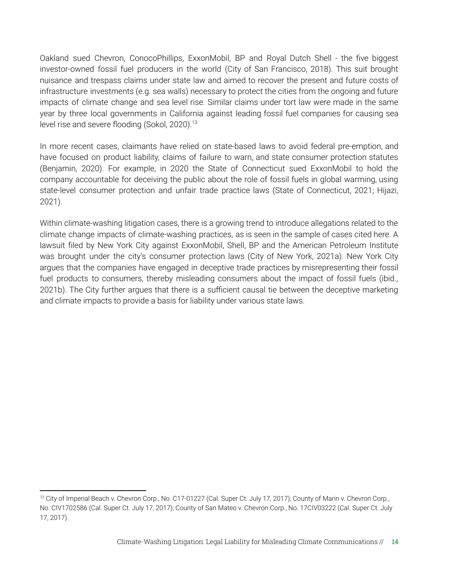Oakland sued Chevron, ConocoPhillips, ExxonMobil, BP and Royal Dutch Shell - the five biggest investor-owned fossil fuel producers in the world (City of San Francisco, 2018). This suit brought nuisance and trespass claims under state law and aimed to recover the present and future costs of infrastructure investments (e.g. sea walls) necessary to protect the cities from the ongoing and future impacts of climate change and sea level rise. Similar claims under tort law were made in the same year by three local governments in California against leading fossil fuel companies for causing sea level rise and severe flooding (Sokol, 2020). 13

In more recent cases, claimants have relied on state-based laws to avoid federal pre-emption, and have focused on product liability, claims of failure to warn, and state consumer protection statutes (Benjamin, 2020). For example, in 2020 the State of Connecticut sued ExxonMobil to hold the company accountable for deceiving the public about the role of fossil fuels in global warming, using state-level consumer protection and unfair trade practice laws (State of Connecticut, 2021; Hijazi, 2021).

Within climate-washing litigation cases, there is a growing trend to introduce allegations related to the climate change impacts of climate-washing practices, as is seen in the sample of cases cited here. A lawsuit filed by New York City against ExxonMobil, Shell, BP and the American Petroleum Institute was brought under the city's consumer protection laws (City of New York, 2021a). New York City argues that the companies have engaged in deceptive trade practices by misrepresenting their fossil fuel products to consumers, thereby misleading consumers about the impact of fossil fuels (ibid., 2021b). The City further argues that there is a sufficient causal tie between the deceptive marketing and climate impacts to provide a basis for liability under various state laws.

<sup>&</sup>lt;sup>13</sup> City of Imperial Beach v. Chevron Corp., No. C17-01227 (Cal. Super Ct. July 17, 2017); County of Marin v. Chevron Corp., No. CIV1702586 (Cal. Super Ct. July 17, 2017); County of San Mateo v. Chevron Corp., No. 17CIV03222 (Cal. Super Ct. July 17, 2017).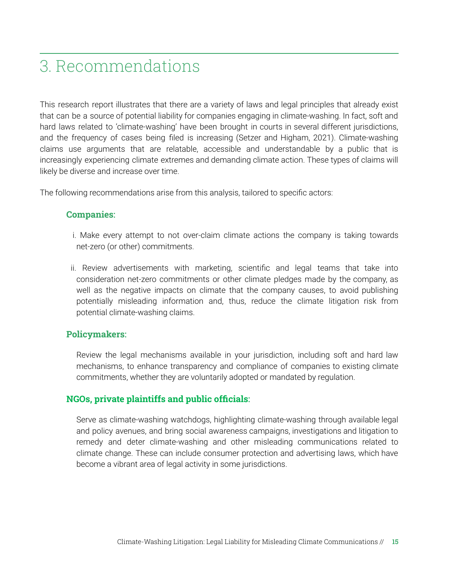### 3. Recommendations

This research report illustrates that there are a variety of laws and legal principles that already exist that can be a source of potential liability for companies engaging in climate-washing. In fact, soft and hard laws related to 'climate-washing' have been brought in courts in several different jurisdictions, and the frequency of cases being filed is increasing (Setzer and Higham, 2021). Climate-washing claims use arguments that are relatable, accessible and understandable by a public that is increasingly experiencing climate extremes and demanding climate action. These types of claims will likely be diverse and increase over time.

The following recommendations arise from this analysis, tailored to specific actors:

#### **Companies**:

- i. Make every attempt to not over-claim climate actions the company is taking towards net-zero (or other) commitments.
- ii. Review advertisements with marketing, scientific and legal teams that take into consideration net-zero commitments or other climate pledges made by the company, as well as the negative impacts on climate that the company causes, to avoid publishing potentially misleading information and, thus, reduce the climate litigation risk from potential climate-washing claims.

#### **Policymakers**:

Review the legal mechanisms available in your jurisdiction, including soft and hard law mechanisms, to enhance transparency and compliance of companies to existing climate commitments, whether they are voluntarily adopted or mandated by regulation.

#### **NGOs, private plaintiffs and public officials**:

Serve as climate-washing watchdogs, highlighting climate-washing through available legal and policy avenues, and bring social awareness campaigns, investigations and litigation to remedy and deter climate-washing and other misleading communications related to climate change. These can include consumer protection and advertising laws, which have become a vibrant area of legal activity in some jurisdictions.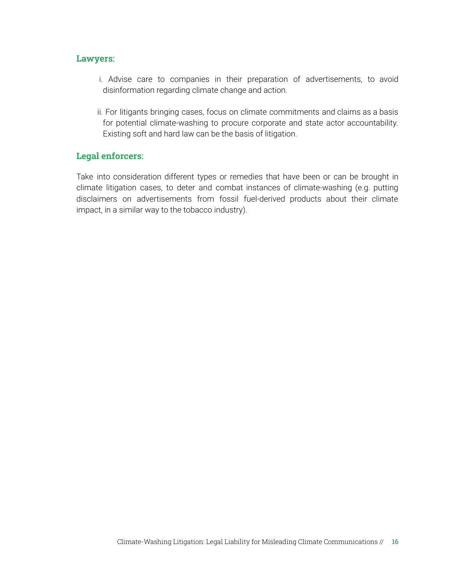#### **Lawyers**:

- i. Advise care to companies in their preparation of advertisements, to avoid disinformation regarding climate change and action.
- ii. For litigants bringing cases, focus on climate commitments and claims as a basis for potential climate-washing to procure corporate and state actor accountability. Existing soft and hard law can be the basis of litigation.

#### **Legal enforcers**:

Take into consideration different types or remedies that have been or can be brought in climate litigation cases, to deter and combat instances of climate-washing (e.g. putting disclaimers on advertisements from fossil fuel-derived products about their climate impact, in a similar way to the tobacco industry).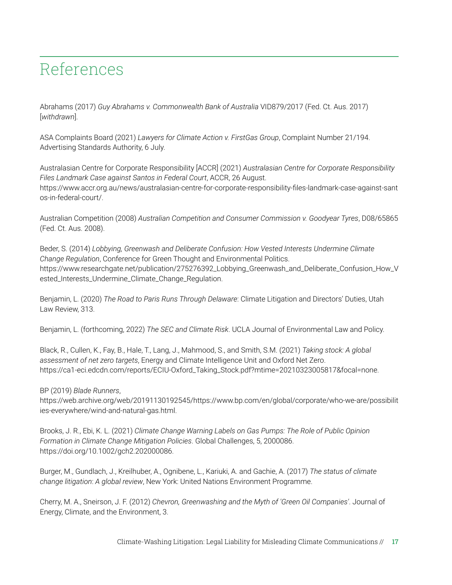### References

Abrahams (2017) *Guy Abrahams v. Commonwealth Bank of Australia* VID879/2017 (Fed. Ct. Aus. 2017) [*withdrawn*].

ASA Complaints Board (2021) *Lawyers for Climate Action v. FirstGas Group*, Complaint Number 21/194. Advertising Standards Authority, 6 July.

Australasian Centre for Corporate Responsibility [ACCR] (2021) *Australasian Centre for Corporate Responsibility Files Landmark Case against Santos in Federal Court*, ACCR, 26 August. [https://www.accr.org.au/news/australasian-centre-for-corporate-responsibility-files-landmark-case-against-sant](https://www.accr.org.au/news/australasian-centre-for-corporate-responsibility-files-landmark-case-against-santos-in-federal-court/) [os-in-federal-court/.](https://www.accr.org.au/news/australasian-centre-for-corporate-responsibility-files-landmark-case-against-santos-in-federal-court/)

Australian Competition (2008) *Australian Competition and Consumer Commission v. Goodyear Tyres*, D08/65865 (Fed. Ct. Aus. 2008).

Beder, S. (2014) *Lobbying, Greenwash and Deliberate Confusion: How Vested Interests Undermine Climate Change Regulation*, Conference for Green Thought and Environmental Politics. [https://www.researchgate.net/publication/275276392\\_Lobbying\\_Greenwash\\_and\\_Deliberate\\_Confusion\\_How\\_V](https://www.researchgate.net/publication/275276392_Lobbying_Greenwash_and_Deliberate_Confusion_How_Vested_Interests_Undermine_Climate_Change_Regulation) [ested\\_Interests\\_Undermine\\_Climate\\_Change\\_Regulation.](https://www.researchgate.net/publication/275276392_Lobbying_Greenwash_and_Deliberate_Confusion_How_Vested_Interests_Undermine_Climate_Change_Regulation)

Benjamin, L. (2020) *The Road to Paris Runs Through Delaware*: Climate Litigation and Directors' Duties, Utah Law Review, 313.

Benjamin, L. (forthcoming, 2022) *The SEC and Climate Risk*. UCLA Journal of Environmental Law and Policy.

Black, R., Cullen, K., Fay, B., Hale, T., Lang, J., Mahmood, S., and Smith, S.M. (2021) *Taking stock: A global assessment of net zero targets*, Energy and Climate Intelligence Unit and Oxford Net Zero. [https://ca1-eci.edcdn.com/reports/ECIU-Oxford\\_Taking\\_Stock.pdf?mtime=20210323005817&focal=none](https://ca1-eci.edcdn.com/reports/ECIU-Oxford_Taking_Stock.pdf?mtime=20210323005817&focal=none).

BP (2019) *Blade Runners*,

[https://web.archive.org/web/20191130192545/https://www.bp.com/en/global/corporate/who-we-are/possibilit](https://web.archive.org/web/20191130192545/https://www.bp.com/en/global/corporate/who-we-are/possibilities-everywhere/wind-and-natural-gas.html) [ies-everywhere/wind-and-natural-gas.html](https://web.archive.org/web/20191130192545/https://www.bp.com/en/global/corporate/who-we-are/possibilities-everywhere/wind-and-natural-gas.html).

Brooks, J. R., Ebi, K. L. (2021) *Climate Change Warning Labels on Gas Pumps: The Role of Public Opinion Formation in Climate Change Mitigation Policies*. Global Challenges, 5, 2000086. <https://doi.org/10.1002/gch2.202000086>.

Burger, M., Gundlach, J., Kreilhuber, A., Ognibene, L., Kariuki, A. and Gachie, A. (2017) *The status of climate change litigation*: *A global review*, New York: United Nations Environment Programme.

Cherry, M. A., Sneirson, J. F. (2012) *Chevron, Greenwashing and the Myth of 'Green Oil Companies'*. Journal of Energy, Climate, and the Environment, 3.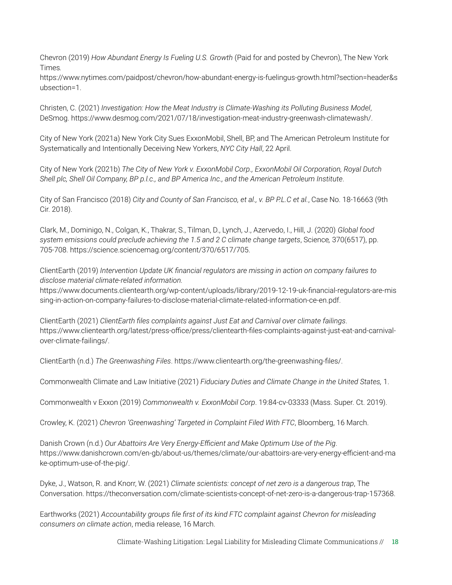Chevron (2019) *How Abundant Energy Is Fueling U.S. Growth* (Paid for and posted by Chevron), The New York Times*.*

[https://www.nytimes.com/paidpost/chevron/how-abundant-energy-is-fuelingus-growth.html?section=header&s](https://www.nytimes.com/paidpost/chevron/how-abundant-energy-is-fuelingus-growth.html?section=header&subsection=1) [ubsection=1](https://www.nytimes.com/paidpost/chevron/how-abundant-energy-is-fuelingus-growth.html?section=header&subsection=1).

Christen, C. (2021) *Investigation: How the Meat Industry is Climate-Washing its Polluting Business Model*, DeSmog. https://www.desmog.com/2021/07/18/investigation-meat-industry-greenwash-climatewash/.

City of New York (2021a) New York City Sues ExxonMobil, Shell, BP, and The American Petroleum Institute for Systematically and Intentionally Deceiving New Yorkers, *NYC City Hall*, 22 April.

City of New York (2021b) *The City of New York v. ExxonMobil Corp., ExxonMobil Oil Corporation, Royal Dutch Shell plc, Shell Oil Company, BP p.l.c., and BP America Inc., and the American Petroleum Institute*.

City of San Francisco (2018) *City and County of San Francisco, et al., v. BP P.L.C et al.*, Case No. 18-16663 (9th Cir. 2018).

Clark, M., Dominigo, N., Colgan, K., Thakrar, S., Tilman, D., Lynch, J., Azervedo, I., Hill, J. (2020) *Global food system emissions could preclude achieving the 1.5 and 2 C climate change targets*, Science*,* 370(6517), pp. 705-708. https://science.sciencemag.org/content/370/6517/705.

ClientEarth (2019) *Intervention Update UK financial regulators are missing in action on company failures to disclose material climate-related information.*

[https://www.documents.clientearth.org/wp-content/uploads/library/2019-12-19-uk-financial-regulators-are-mis](https://www.documents.clientearth.org/wp-content/uploads/library/2019-12-19-uk-financial-regulators-are-missing-in-action-on-company-failures-to-disclose-material-climate-related-information-ce-en.pdf) [sing-in-action-on-company-failures-to-disclose-material-climate-related-information-ce-en.pdf.](https://www.documents.clientearth.org/wp-content/uploads/library/2019-12-19-uk-financial-regulators-are-missing-in-action-on-company-failures-to-disclose-material-climate-related-information-ce-en.pdf)

ClientEarth (2021) *ClientEarth files complaints against Just Eat and Carnival over climate failings*. [https://www.clientearth.org/latest/press-office/press/clientearth-files-complaints-against-just-eat-and-carnival](https://www.clientearth.org/latest/press-office/press/clientearth-files-complaints-against-just-eat-and-carnival-over-climate-failings/)[over-climate-failings/](https://www.clientearth.org/latest/press-office/press/clientearth-files-complaints-against-just-eat-and-carnival-over-climate-failings/).

ClientEarth (n.d.) *The Greenwashing Files*. <https://www.clientearth.org/the-greenwashing-files/>.

Commonwealth Climate and Law Initiative (2021) *Fiduciary Duties and Climate Change in the United States,* 1.

Commonwealth v Exxon (2019) *Commonwealth v. ExxonMobil Corp*. 19:84-cv-03333 (Mass. Super. Ct. 2019).

Crowley, K. (2021) *Chevron 'Greenwashing' Targeted in Complaint Filed With FTC*, Bloomberg, 16 March.

Danish Crown (n.d.) *Our Abattoirs Are Very Energy-Efficient and Make Optimum Use of the Pig*. https://www.danishcrown.com/en-gb/about-us/themes/climate/our-abattoirs-are-very-energy-efficient-and-ma ke-optimum-use-of-the-pig/.

Dyke, J., Watson, R. and Knorr, W. (2021) *Climate scientists: concept of net zero is a dangerous trap*, The Conversation. https://theconversation.com/climate-scientists-concept-of-net-zero-is-a-dangerous-trap-157368.

Earthworks (2021) *Accountability groups file first of its kind FTC complaint against Chevron for misleading consumers on climate action*, media release, 16 March.

Climate-Washing Litigation: Legal Liability for Misleading Climate Communications // 18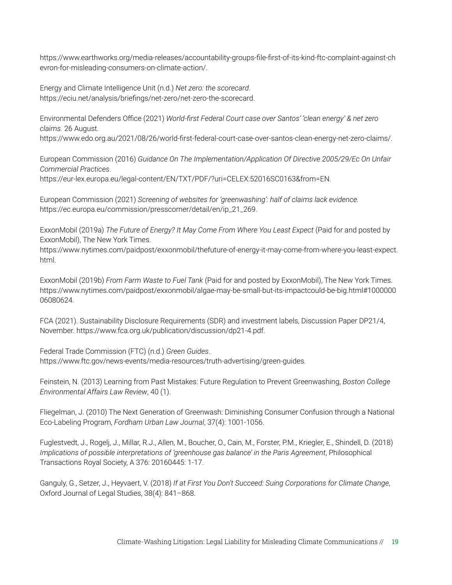https://www.earthworks.org/media-releases/accountability-groups-file-first-of-its-kind-ftc-complaint-against-ch evron-for-misleading-consumers-on-climate-action/.

Energy and Climate Intelligence Unit (n.d.) *Net zero: the scorecard*. https://eciu.net/analysis/briefings/net-zero/net-zero-the-scorecard.

Environmental Defenders Office (2021) *World-first Federal Court case over Santos' 'clean energy' & net zero claims.* 26 August.

[https://www.edo.org.au/2021/08/26/world-first-federal-court-case-over-santos-clean-energy-net-zero-claims/.](https://www.edo.org.au/2021/08/26/world-first-federal-court-case-over-santos-clean-energy-net-zero-claims/)

European Commission (2016) *Guidance On The Implementation/Application Of Directive 2005/29/Ec On Unfair Commercial Practices*. <https://eur-lex.europa.eu/legal-content/EN/TXT/PDF/?uri=CELEX:52016SC0163&from=EN>.

European Commission (2021) *Screening of websites for 'greenwashing': half of claims lack evidence.* [https://ec.europa.eu/commission/presscorner/detail/en/ip\\_21\\_269](https://ec.europa.eu/commission/presscorner/detail/en/ip_21_269).

ExxonMobil (2019a) *The Future of Energy? It May Come From Where You Least Expect* (Paid for and posted by ExxonMobil), The New York Times*.*

<https://www>.nytimes.com/paidpost/exxonmobil/thefuture-of-energy-it-may-come-from-where-you-least-expect. html.

ExxonMobil (2019b) *From Farm Waste to Fuel Tank* (Paid for and posted by ExxonMobil), The New York Times. https://www.nytimes.com/paidpost/exxonmobil/algae-may-be-small-but-its-impactcould-be-big.html#1000000 06080624.

FCA (2021). Sustainability Disclosure Requirements (SDR) and investment labels, Discussion Paper DP21/4, November. https://www.fca.org.uk/publication/discussion/dp21-4.pdf.

Federal Trade Commission (FTC) (n.d.) *Green Guides*. https://www.ftc.gov/news-events/media-resources/truth-advertising/green-guides.

Feinstein, N. (2013) Learning from Past Mistakes: Future Regulation to Prevent Greenwashing, *Boston College Environmental Affairs Law Review*, 40 (1).

Fliegelman, J. (2010) The Next Generation of Greenwash: Diminishing Consumer Confusion through a National Eco-Labeling Program, *Fordham Urban Law Journal*, 37(4): 1001-1056.

Fuglestvedt, J., Rogelj, J., Millar, R.J., Allen, M., Boucher, O., Cain, M., Forster, P.M., Kriegler, E., Shindell, D. (2018) *Implications of possible interpretations of 'greenhouse gas balance' in the Paris Agreement*, Philosophical Transactions Royal Society, A 376: 20160445: 1-17.

Ganguly, G., Setzer, J., Heyvaert, V. (2018) *If at First You Don't Succeed: Suing Corporations for Climate Change*, Oxford Journal of Legal Studies, 38(4): 841–868.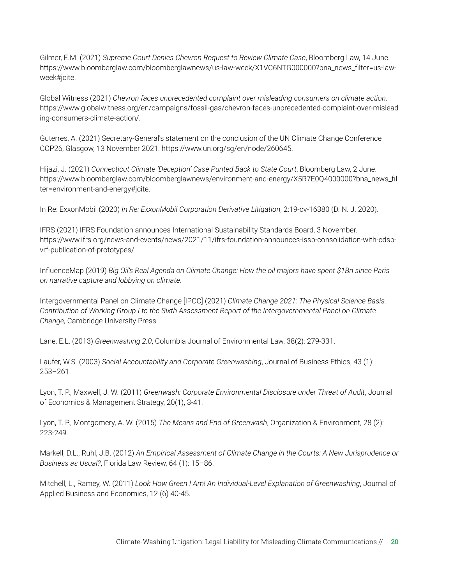Gilmer, E.M. (2021) *Supreme Court Denies Chevron Request to Review Climate Case*, Bloomberg Law, 14 June. [https://www.bloomberglaw.com/bloomberglawnews/us-law-week/X1VC6NTG000000?bna\\_news\\_filter=us-law](https://www.bloomberglaw.com/bloomberglawnews/us-law-week/X1VC6NTG000000?bna_news_filter=us-law-week#jcite)[week#jcite.](https://www.bloomberglaw.com/bloomberglawnews/us-law-week/X1VC6NTG000000?bna_news_filter=us-law-week#jcite)

Global Witness (2021) *Chevron faces unprecedented complaint over misleading consumers on climate action*. [https://www.globalwitness.org/en/campaigns/fossil-gas/chevron-faces-unprecedented-complaint-over-mislead](https://www.globalwitness.org/en/campaigns/fossil-gas/chevron-faces-unprecedented-complaint-over-misleading-consumers-climate-action/) [ing-consumers-climate-action/](https://www.globalwitness.org/en/campaigns/fossil-gas/chevron-faces-unprecedented-complaint-over-misleading-consumers-climate-action/).

Guterres, A. (2021) Secretary-General's statement on the conclusion of the UN Climate Change Conference COP26, Glasgow, 13 November 2021. https://www.un.org/sg/en/node/260645.

Hijazi, J. (2021) *Connecticut Climate 'Deception' Case Punted Back to State Court*, Bloomberg Law, 2 June. https://www.bloomberglaw.com/bloomberglawnews/environment-and-energy/X5R7E0Q4000000?bna\_news\_fil ter=environment-and-energy#jcite.

In Re: ExxonMobil (2020) *In Re: ExxonMobil Corporation Derivative Litigation*, 2:19-cv-16380 (D. N. J. 2020).

IFRS (2021) IFRS Foundation announces International Sustainability Standards Board, 3 November. https://www.ifrs.org/news-and-events/news/2021/11/ifrs-foundation-announces-issb-consolidation-with-cdsbvrf-publication-of-prototypes/.

InfluenceMap (2019) *Big Oil's Real Agenda on Climate Change: How the oil majors have spent \$1Bn since Paris on narrative capture and lobbying on climate*.

Intergovernmental Panel on Climate Change [IPCC] (2021) *Climate Change 2021: The Physical Science Basis. Contribution of Working Group I to the Sixth Assessment Report of the Intergovernmental Panel on Climate Change,* Cambridge University Press.

Lane, E.L. (2013) *Greenwashing 2.0*, Columbia Journal of Environmental Law, 38(2): 279-331.

Laufer, W.S. (2003) *Social Accountability and Corporate Greenwashing*, Journal of Business Ethics, 43 (1): 253–261.

Lyon, T. P., Maxwell, J. W. (2011) *Greenwash: Corporate Environmental Disclosure under Threat of Audit*, Journal of Economics & Management Strategy, 20(1), 3-41.

Lyon, T. P., Montgomery, A. W. (2015) *The Means and End of Greenwash*, Organization & Environment, 28 (2): 223-249.

Markell, D.L., Ruhl, J.B. (2012) *An Empirical Assessment of Climate Change in the Courts: A New Jurisprudence or Business as Usual?*, Florida Law Review, 64 (1): 15–86.

Mitchell, L., Ramey, W. (2011) *Look How Green I Am! An Individual-Level Explanation of Greenwashing*, Journal of Applied Business and Economics, 12 (6) 40-45.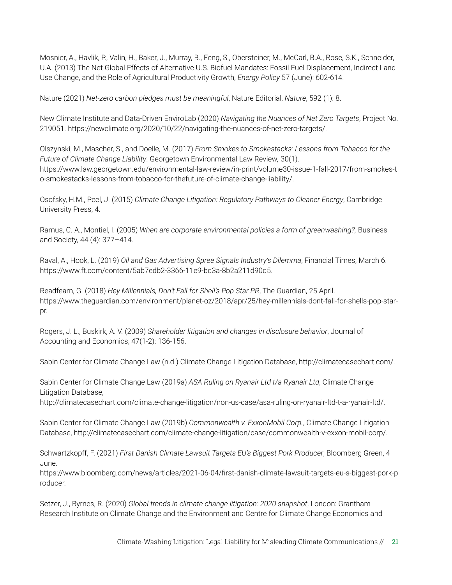Mosnier, A., Havlik, P., Valin, H., Baker, J., Murray, B., Feng, S., Obersteiner, M., McCarl, B.A., Rose, S.K., Schneider, U.A. (2013) The Net Global Effects of Alternative U.S. Biofuel Mandates: Fossil Fuel Displacement, Indirect Land Use Change, and the Role of Agricultural Productivity Growth, *Energy Policy* 57 (June): 602-614.

Nature (2021) *Net-zero carbon pledges must be meaningful*, Nature Editorial, *Nature*, 592 (1): 8.

New Climate Institute and Data-Driven EnviroLab (2020) *Navigating the Nuances of Net Zero Targets*, Project No. 219051. https://newclimate.org/2020/10/22/navigating-the-nuances-of-net-zero-targets/.

Olszynski, M., Mascher, S., and Doelle, M. (2017) *From Smokes to Smokestacks: Lessons from Tobacco for the Future of Climate Change Liability*. Georgetown Environmental Law Review*,* 30(1). [https://www.law.georgetown.edu/environmental-law-review/in-print/volume30-issue-1-fall-2017/from-smokes-t](https://www.law.georgetown.edu/environmental-law-review/in-print/volume30-issue-1-fall-2017/from-smokes-to-smokestacks-lessons-from-tobacco-for-thefuture-of-climate-change-liability/) [o-smokestacks-lessons-from-tobacco-for-thefuture-of-climate-change-liability/](https://www.law.georgetown.edu/environmental-law-review/in-print/volume30-issue-1-fall-2017/from-smokes-to-smokestacks-lessons-from-tobacco-for-thefuture-of-climate-change-liability/).

Osofsky, H.M., Peel, J. (2015) *Climate Change Litigation: Regulatory Pathways to Cleaner Energy*, Cambridge University Press, 4.

Ramus, C. A., Montiel, I. (2005) *When are corporate environmental policies a form of greenwashing?,* Business and Society, 44 (4): 377–414.

Raval, A., Hook, L. (2019) *Oil and Gas Advertising Spree Signals Industry's Dilemma*, Financial Times, March 6. <https://www.ft.com/content/5ab7edb2-3366-11e9-bd3a-8b2a211d90d5>.

Readfearn, G. (2018) *Hey Millennials, Don't Fall for Shell's Pop Star PR*, The Guardian, 25 April. https://www.theguardian.com/environment/planet-oz/2018/apr/25/hey-millennials-dont-fall-for-shells-pop-starpr.

Rogers, J. L., Buskirk, A. V. (2009) *Shareholder litigation and changes in disclosure behavior*, Journal of Accounting and Economics, 47(1-2): 136-156.

Sabin Center for Climate Change Law (n.d.) Climate Change Litigation Database, http://climatecasechart.com/.

Sabin Center for Climate Change Law (2019a) *ASA Ruling on Ryanair Ltd t/a Ryanair Ltd*, Climate Change Litigation Database,

http://climatecasechart.com/climate-change-litigation/non-us-case/asa-ruling-on-ryanair-ltd-t-a-ryanair-ltd/.

Sabin Center for Climate Change Law (2019b) *Commonwealth v. ExxonMobil Corp.*, Climate Change Litigation Database, http://climatecasechart.com/climate-change-litigation/case/commonwealth-v-exxon-mobil-corp/.

Schwartzkopff, F. (2021) *First Danish Climate Lawsuit Targets EU's Biggest Pork Producer*, Bloomberg Green, 4 June.

https://www.bloomberg.com/news/articles/2021-06-04/first-danish-climate-lawsuit-targets-eu-s-biggest-pork-p roducer.

Setzer, J., Byrnes, R. (2020) *Global trends in climate change litigation: 2020 snapshot*, London: Grantham Research Institute on Climate Change and the Environment and Centre for Climate Change Economics and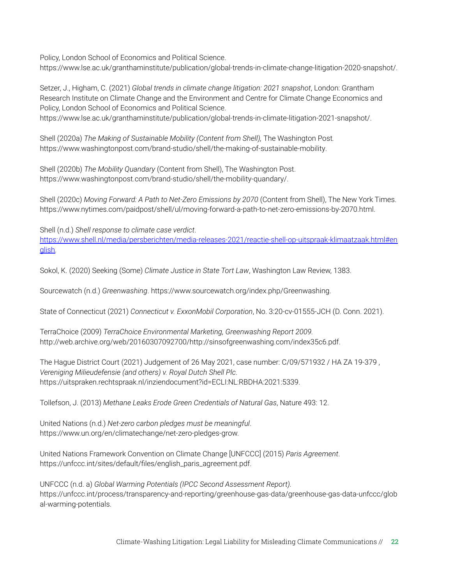Policy, London School of Economics and Political Science.

[https://www.lse.ac.uk/granthaminstitute/publication/global-trends-in-climate-change-litigation-2020-snapshot/.](https://www.lse.ac.uk/granthaminstitute/publication/global-trends-in-climate-change-litigation-2020-snapshot/)

Setzer, J., Higham, C. (2021) *Global trends in climate change litigation: 2021 snapshot*, London: Grantham Research Institute on Climate Change and the Environment and Centre for Climate Change Economics and Policy, London School of Economics and Political Science.

<https://www.lse.ac.uk/granthaminstitute/publication/global-trends-in-climate-litigation-2021-snapshot/>.

Shell (2020a) *The Making of Sustainable Mobility (Content from Shell),* The Washington Post*.* [https://www.washingtonpost.com/brand-studio/shell/the-making-of-sustainable-mobility.](https://www.washingtonpost.com/brand-studio/shell/the-making-of-sustainable-mobility)

Shell (2020b) *The Mobility Quandary* (Content from Shell), The Washington Post. [https://www.washingtonpost.com/brand-studio/shell/the-mobility-quandary/.](https://www.washingtonpost.com/brand-studio/shell/the-mobility-quandary/)

Shell (2020c) *Moving Forward: A Path to Net-Zero Emissions by 2070* (Content from Shell), The New York Times. <https://www.nytimes.com/paidpost/shell/ul/moving-forward-a-path-to-net-zero-emissions-by-2070.html>.

Shell (n.d.) *Shell response to climate case verdict*. [https://www.shell.nl/media/persberichten/media-releases-2021/reactie-shell-op-uitspraak-klimaatzaak.html#en](https://www.shell.nl/media/persberichten/media-releases-2021/reactie-shell-op-uitspraak-klimaatzaak.html#english) [glish.](https://www.shell.nl/media/persberichten/media-releases-2021/reactie-shell-op-uitspraak-klimaatzaak.html#english)

Sokol, K. (2020) Seeking (Some) *Climate Justice in State Tort Law*, Washington Law Review, 1383.

Sourcewatch (n.d.) *Greenwashing*. [https://www.sourcewatch.org/index.php/Greenwashing.](https://www.sourcewatch.org/index.php/Greenwashing)

State of Connecticut (2021) *Connecticut v. ExxonMobil Corporation*, No. 3:20-cv-01555-JCH (D. Conn. 2021).

TerraChoice (2009) *TerraChoice Environmental Marketing, Greenwashing Report 2009.* http://web.archive.org/web/20160307092700/http://sinsofgreenwashing.com/index35c6.pdf.

The Hague District Court (2021) Judgement of 26 May 2021, case number: C/09/571932 / HA ZA 19-379 , *Vereniging Milieudefensie (and others) v. Royal Dutch Shell Plc*. [https://uitspraken.rechtspraak.nl/inziendocument?id=ECLI:NL:RBDHA:2021:5339.](https://uitspraken.rechtspraak.nl/inziendocument?id=ECLI:NL:RBDHA:2021:5339)

Tollefson, J. (2013) *Methane Leaks Erode Green Credentials of Natural Gas*, Nature 493: 12.

United Nations (n.d.) *Net-zero carbon pledges must be meaningful*. https://www.un.org/en/climatechange/net-zero-pledges-grow.

United Nations Framework Convention on Climate Change [UNFCCC] (2015) *Paris Agreement*. https://unfccc.int/sites/default/files/english\_paris\_agreement.pdf.

UNFCCC (n.d. a) *Global Warming Potentials (IPCC Second Assessment Report).* https://unfccc.int/process/transparency-and-reporting/greenhouse-gas-data/greenhouse-gas-data-unfccc/glob al-warming-potentials.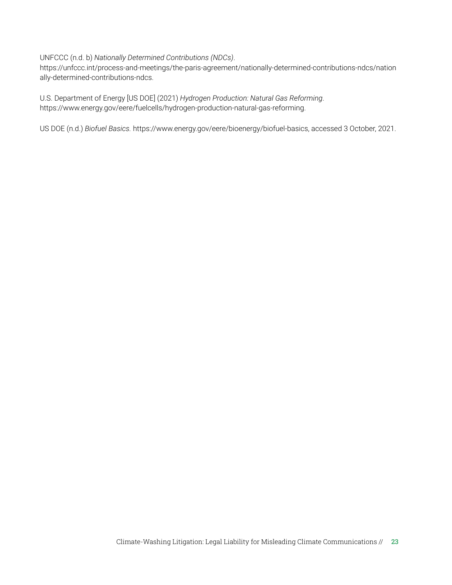#### UNFCCC (n.d. b) *Nationally Determined Contributions (NDCs)*.

https://unfccc.int/process-and-meetings/the-paris-agreement/nationally-determined-contributions-ndcs/nation ally-determined-contributions-ndcs.

U.S. Department of Energy [US DOE] (2021) *Hydrogen Production: Natural Gas Reforming*. <https://www.energy.gov/eere/fuelcells/hydrogen-production-natural-gas-reforming>.

US DOE (n.d.) *Biofuel Basics.* https://www.energy.gov/eere/bioenergy/biofuel-basics, accessed 3 October, 2021.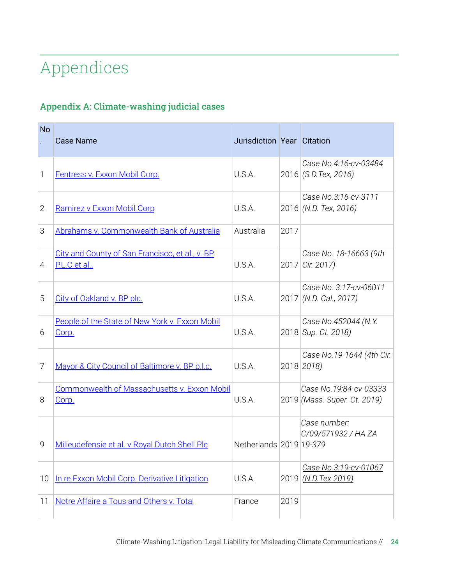# Appendices

### Appendix A: Climate-washing judicial cases

| <b>No</b>      | <b>Case Name</b>                                                 | Jurisdiction Year Citation |      |                                                        |
|----------------|------------------------------------------------------------------|----------------------------|------|--------------------------------------------------------|
| 1              | Fentress v. Exxon Mobil Corp.                                    | U.S.A.                     |      | Case No.4:16-cv-03484<br>2016 (S.D. Tex, 2016)         |
| $\overline{2}$ | Ramirez v Exxon Mobil Corp                                       | U.S.A.                     |      | Case No.3:16-cv-3111<br>2016 (N.D. Tex, 2016)          |
| 3              | Abrahams v. Commonwealth Bank of Australia                       | Australia                  | 2017 |                                                        |
| 4              | City and County of San Francisco, et al., v. BP<br>P.L.C et al., | U.S.A.                     |      | Case No. 18-16663 (9th<br>2017 Cir. 2017)              |
| 5              | City of Oakland v. BP plc.                                       | U.S.A.                     |      | Case No. 3:17-cv-06011<br>2017 (N.D. Cal., 2017)       |
| 6              | People of the State of New York v. Exxon Mobil<br>Corp.          | U.S.A.                     |      | Case No.452044 (N.Y.<br>2018 Sup. Ct. 2018)            |
| 7              | Mayor & City Council of Baltimore v. BP p.l.c.                   | U.S.A.                     |      | Case No.19-1644 (4th Cir.<br>2018 2018)                |
| 8              | Commonwealth of Massachusetts v. Exxon Mobil<br>Corp.            | U.S.A.                     |      | Case No.19:84-cv-03333<br>2019 (Mass. Super. Ct. 2019) |
| 9              | Milieudefensie et al. v Royal Dutch Shell Plc                    | Netherlands 2019 19-379    |      | Case number:<br>C/09/571932 / HA ZA                    |
| 10             | In re Exxon Mobil Corp. Derivative Litigation                    | U.S.A.                     | 2019 | Case No.3:19-cv-01067<br>(N.D. Tex 2019)               |
| 11             | Notre Affaire a Tous and Others v. Total                         | France                     | 2019 |                                                        |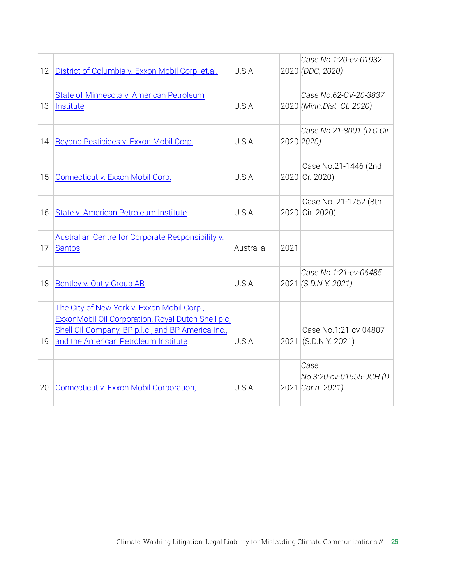| 12 | District of Columbia v. Exxon Mobil Corp. et.al.                                                                                                                                               | U.S.A.    |      | Case No.1:20-cv-01932<br>2020 (DDC, 2020)            |
|----|------------------------------------------------------------------------------------------------------------------------------------------------------------------------------------------------|-----------|------|------------------------------------------------------|
| 13 | State of Minnesota v. American Petroleum<br>Institute                                                                                                                                          | U.S.A.    |      | Case No.62-CV-20-3837<br>2020 (Minn.Dist. Ct. 2020)  |
| 14 | Beyond Pesticides v. Exxon Mobil Corp.                                                                                                                                                         | U.S.A.    |      | Case No.21-8001 (D.C.Cir.<br>2020 2020)              |
| 15 | Connecticut v. Exxon Mobil Corp.                                                                                                                                                               | U.S.A.    |      | Case No.21-1446 (2nd<br>2020 Cr. 2020)               |
| 16 | State v. American Petroleum Institute                                                                                                                                                          | U.S.A.    |      | Case No. 21-1752 (8th<br>2020 Cir. 2020)             |
| 17 | <b>Australian Centre for Corporate Responsibility v.</b><br><b>Santos</b>                                                                                                                      | Australia | 2021 |                                                      |
| 18 | <b>Bentley v. Oatly Group AB</b>                                                                                                                                                               | U.S.A.    |      | Case No.1:21-cv-06485<br>2021 (S.D.N.Y. 2021)        |
| 19 | The City of New York v. Exxon Mobil Corp.,<br>ExxonMobil Oil Corporation, Royal Dutch Shell plc,<br>Shell Oil Company, BP p.l.c., and BP America Inc.,<br>and the American Petroleum Institute | U.S.A.    |      | Case No.1:21-cv-04807<br>2021 (S.D.N.Y. 2021)        |
| 20 | Connecticut v. Exxon Mobil Corporation,                                                                                                                                                        | U.S.A.    |      | Case<br>No.3:20-cv-01555-JCH (D.<br>2021 Conn. 2021) |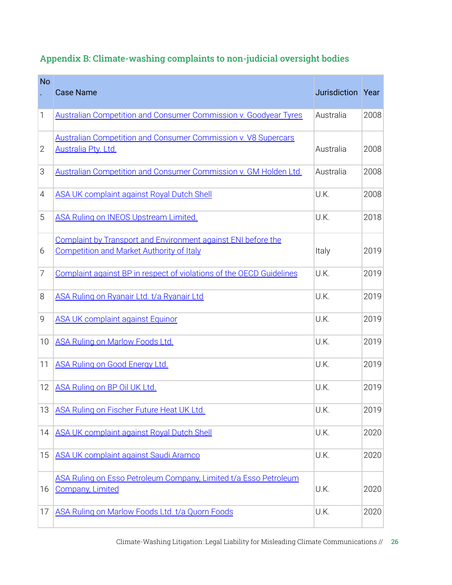| <b>No</b>      | <b>Case Name</b>                                                                                                         | Jurisdiction Year |      |
|----------------|--------------------------------------------------------------------------------------------------------------------------|-------------------|------|
| 1              | <b>Australian Competition and Consumer Commission v. Goodyear Tyres</b>                                                  | Australia         | 2008 |
| $\overline{2}$ | <b>Australian Competition and Consumer Commission v. V8 Supercars</b><br>Australia Pty. Ltd.                             | Australia         | 2008 |
| 3              | Australian Competition and Consumer Commission v. GM Holden Ltd.                                                         | Australia         | 2008 |
| $\overline{4}$ | <b>ASA UK complaint against Royal Dutch Shell</b>                                                                        | U.K.              | 2008 |
| 5              | <b>ASA Ruling on INEOS Upstream Limited.</b>                                                                             | U.K.              | 2018 |
| 6              | <b>Complaint by Transport and Environment against ENI before the</b><br><b>Competition and Market Authority of Italy</b> | Italy             | 2019 |
| 7              | Complaint against BP in respect of violations of the OECD Guidelines                                                     | U.K.              | 2019 |
| 8              | ASA Ruling on Ryanair Ltd. t/a Ryanair Ltd                                                                               | U.K.              | 2019 |
| 9              | <b>ASA UK complaint against Equinor</b>                                                                                  | U.K.              | 2019 |
| 10             | <b>ASA Ruling on Marlow Foods Ltd.</b>                                                                                   | U.K.              | 2019 |
| 11             | <b>ASA Ruling on Good Energy Ltd.</b>                                                                                    | U.K.              | 2019 |
| 12             | ASA Ruling on BP Oil UK Ltd.                                                                                             | U.K.              | 2019 |
| 13             | ASA Ruling on Fischer Future Heat UK Ltd.                                                                                | U.K.              | 2019 |
| 14             | <b>ASA UK complaint against Royal Dutch Shell</b>                                                                        | U.K.              | 2020 |
| 15             | <b>ASA UK complaint against Saudi Aramco</b>                                                                             | U.K.              | 2020 |
| 16             | ASA Ruling on Esso Petroleum Company, Limited t/a Esso Petroleum<br><b>Company, Limited</b>                              | U.K.              | 2020 |
| 17             | ASA Ruling on Marlow Foods Ltd. t/a Quorn Foods                                                                          | U.K.              | 2020 |

### Appendix B: Climate-washing complaints to non-judicial oversight bodies